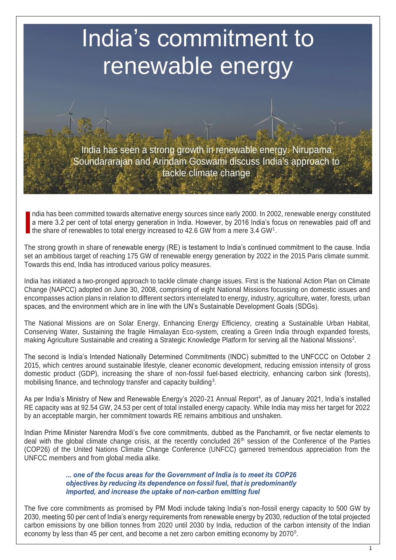# India's commitment to renewable energy

India has seen a strong growth in renewable energy. Nirupama Soundararajan and Arindam Goswami discuss India's approach to tackle climate change

ndia has been committed towards alternative energy sources since early 2000. In 2002, renewable energy constituted a mere 3.2 per cent of total energy generation in India. However, by 2016 India's focus on renewables paid off and the share of renewables to total energy increased to 42.6 GW from a mere 3.4 GW<sup>1</sup>. **I**

The strong growth in share of renewable energy (RE) is testament to India's continued commitment to the cause. India set an ambitious target of reaching 175 GW of renewable energy generation by 2022 in the 2015 Paris climate summit. Towards this end, India has introduced various policy measures.

India has initiated a two-pronged approach to tackle climate change issues. First is the National Action Plan on Climate Change (NAPCC) adopted on June 30, 2008, comprising of eight National Missions focussing on domestic issues and encompasses action plans in relation to different sectors interrelated to energy, industry, agriculture, water, forests, urban spaces, and the environment which are in line with the UN's Sustainable Development Goals (SDGs).

The National Missions are on Solar Energy, Enhancing Energy Efficiency, creating a Sustainable Urban Habitat, Conserving Water, Sustaining the fragile Himalayan Eco-system, creating a Green India through expanded forests, making Agriculture Sustainable and creating a Strategic Knowledge Platform for serving all the National Missions<sup>2</sup>.

The second is India's Intended Nationally Determined Commitments (INDC) submitted to the UNFCCC on October 2 2015, which centres around sustainable lifestyle, cleaner economic development, reducing emission intensity of gross domestic product (GDP), increasing the share of non-fossil fuel-based electricity, enhancing carbon sink (forests), mobilising finance, and technology transfer and capacity building<sup>3</sup>.

As per India's Ministry of New and Renewable Energy's 2020-21 Annual Report<sup>4</sup>, as of January 2021, India's installed RE capacity was at 92.54 GW, 24.53 per cent of total installed energy capacity. While India may miss her target for 2022 by an acceptable margin, her commitment towards RE remains ambitious and unshaken.

Indian Prime Minister Narendra Modi's five core commitments, dubbed as the Panchamrit, or five nectar elements to deal with the global climate change crisis, at the recently concluded 26<sup>th</sup> session of the Conference of the Parties (COP26) of the United Nations Climate Change Conference (UNFCC) garnered tremendous appreciation from the UNFCC members and from global media alike.

> ... one of the focus areas for the Government of India is to meet its COP26 objectives by reducing its dependence on fossil fuel, that is predominantly imported, and increase the uptake of non-carbon emitting fuel

The five core commitments as promised by PM Modi include taking India's non-fossil energy capacity to 500 GW by 2030, meeting 50 per cent of India's energy requirements from renewable energy by 2030, reduction of the total projected carbon emissions by one billion tonnes from 2020 until 2030 by India, reduction of the carbon intensity of the Indian economy by less than 45 per cent, and become a net zero carbon emitting economy by 2070<sup>5</sup>.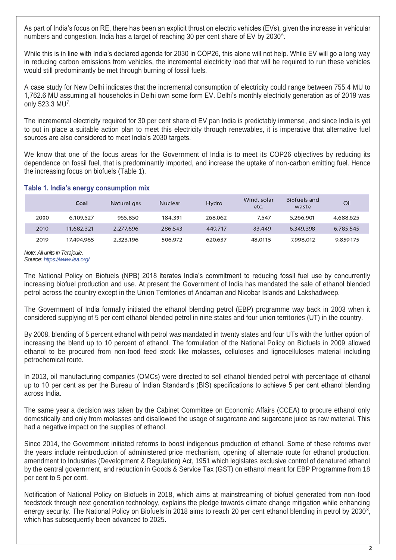As part of India's focus on RE, there has been an explicit thrust on electric vehicles (EVs), given the increase in vehicular numbers and congestion. India has a target of reaching 30 per cent share of EV by 2030 $^6$ .

While this is in line with India's declared agenda for 2030 in COP26, this alone will not help. While EV will go a long way in reducing carbon emissions from vehicles, the incremental electricity load that will be required to run these vehicles would still predominantly be met through burning of fossil fuels.

A case study for New Delhi indicates that the incremental consumption of electricity could range between 755.4 MU to 1,762.6 MU assuming all households in Delhi own some form EV. Delhi's monthly electricity generation as of 2019 was only 523.3 MU<sup>7</sup>.

The incremental electricity required for 30 per cent share of EV pan India is predictably immense, and since India is yet to put in place a suitable action plan to meet this electricity through renewables, it is imperative that alternative fuel sources are also considered to meet India's 2030 targets.

We know that one of the focus areas for the Government of India is to meet its COP26 objectives by reducing its dependence on fossil fuel, that is predominantly imported, and increase the uptake of non-carbon emitting fuel. Hence the increasing focus on biofuels (Table 1).

### **Table 1. India's energy consumption mix**

|      | Coal       | Natural gas | <b>Nuclear</b> | Hydro   | Wind, solar<br>etc. | Biofuels and<br>waste | Oil       |
|------|------------|-------------|----------------|---------|---------------------|-----------------------|-----------|
| 2000 | 6,109,527  | 965,850     | 184,391        | 268,062 | 7.547               | 5,266,901             | 4,688,625 |
| 2010 | 11,682,321 | 2,277,696   | 286,543        | 449,717 | 83,449              | 6,349,398             | 6,785,545 |
| 2019 | 17,494,965 | 2,323,196   | 506,972        | 620,637 | 48,0115             | 7,998,012             | 9,859,175 |

*Note: All units in Terajoule. Source:<https://www.iea.org/>*

The National Policy on Biofuels (NPB) 2018 iterates India's commitment to reducing fossil fuel use by concurrently increasing biofuel production and use. At present the Government of India has mandated the sale of ethanol blended petrol across the country except in the Union Territories of Andaman and Nicobar Islands and Lakshadweep.

The Government of India formally initiated the ethanol blending petrol (EBP) programme way back in 2003 when it considered supplying of 5 per cent ethanol blended petrol in nine states and four union territories (UT) in the country.

By 2008, blending of 5 percent ethanol with petrol was mandated in twenty states and four UTs with the further option of increasing the blend up to 10 percent of ethanol. The formulation of the National Policy on Biofuels in 2009 allowed ethanol to be procured from non-food feed stock like molasses, celluloses and lignocelluloses material including petrochemical route.

In 2013, oil manufacturing companies (OMCs) were directed to sell ethanol blended petrol with percentage of ethanol up to 10 per cent as per the Bureau of Indian Standard's (BIS) specifications to achieve 5 per cent ethanol blending across India.

The same year a decision was taken by the Cabinet Committee on Economic Affairs (CCEA) to procure ethanol only domestically and only from molasses and disallowed the usage of sugarcane and sugarcane juice as raw material. This had a negative impact on the supplies of ethanol.

Since 2014, the Government initiated reforms to boost indigenous production of ethanol. Some of these reforms over the years include reintroduction of administered price mechanism, opening of alternate route for ethanol production, amendment to Industries (Development & Regulation) Act, 1951 which legislates exclusive control of denatured ethanol by the central government, and reduction in Goods & Service Tax (GST) on ethanol meant for EBP Programme from 18 per cent to 5 per cent.

Notification of National Policy on Biofuels in 2018, which aims at mainstreaming of biofuel generated from non-food feedstock through next generation technology, explains the pledge towards climate change mitigation while enhancing energy security. The National Policy on Biofuels in 2018 aims to reach 20 per cent ethanol blending in petrol by 2030<sup>8</sup>, which has subsequently been advanced to 2025.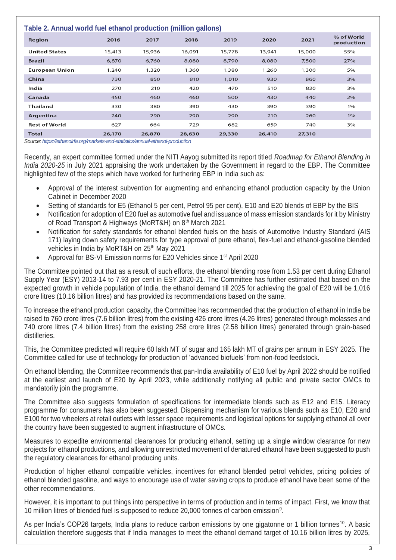### **Table 2. Annual world fuel ethanol production (million gallons)**

| <b>TADIO 4: ANNOUNCE WORLD FOUR DESCRIPTION OF DEAL ORDER IN A PROPERTY OF A PROPERTY OF A PROPERTY OF DEATH OF D</b> |        |        |        |        |        |        |                          |  |
|-----------------------------------------------------------------------------------------------------------------------|--------|--------|--------|--------|--------|--------|--------------------------|--|
| Region                                                                                                                | 2016   | 2017   | 2018   | 2019   | 2020   | 2021   | % of World<br>production |  |
| <b>United States</b>                                                                                                  | 15,413 | 15,936 | 16,091 | 15,778 | 13,941 | 15,000 | 55%                      |  |
| <b>Brazil</b>                                                                                                         | 6,870  | 6,760  | 8,080  | 8,790  | 8,080  | 7,500  | 27%                      |  |
| <b>European Union</b>                                                                                                 | 1,240  | 1,320  | 1,360  | 1,380  | 1,260  | 1,300  | 5%                       |  |
| China                                                                                                                 | 730    | 850    | 810    | 1,010  | 930    | 860    | 3%                       |  |
| India                                                                                                                 | 270    | 210    | 420    | 470    | 510    | 820    | 3%                       |  |
| Canada                                                                                                                | 450    | 460    | 460    | 500    | 430    | 440    | 2%                       |  |
| <b>Thailand</b>                                                                                                       | 330    | 380    | 390    | 430    | 390    | 390    | 1%                       |  |
| Argentina                                                                                                             | 240    | 290    | 290    | 290    | 210    | 260    | 1%                       |  |
| <b>Rest of World</b>                                                                                                  | 627    | 664    | 729    | 682    | 659    | 740    | 3%                       |  |
| <b>Total</b>                                                                                                          | 26,170 | 26,870 | 28,630 | 29,330 | 26,410 | 27,310 |                          |  |

*Source[: https://ethanolrfa.org/markets-and-statistics/annual-ethanol-production](https://ethanolrfa.org/markets-and-statistics/annual-ethanol-production)*

Recently, an expert committee formed under the NITI Aayog submitted its report titled *Roadmap for Ethanol Blending in India 2020-25* in July 2021 appraising the work undertaken by the Government in regard to the EBP. The Committee highlighted few of the steps which have worked for furthering EBP in India such as:

- Approval of the interest subvention for augmenting and enhancing ethanol production capacity by the Union Cabinet in December 2020
- Setting of standards for E5 (Ethanol 5 per cent, Petrol 95 per cent), E10 and E20 blends of EBP by the BIS
- Notification for adoption of E20 fuel as automotive fuel and issuance of mass emission standards for it by Ministry of Road Transport & Highways (MoRT&H) on 8<sup>th</sup> March 2021
- Notification for safety standards for ethanol blended fuels on the basis of Automotive Industry Standard (AIS 171) laying down safety requirements for type approval of pure ethanol, flex-fuel and ethanol-gasoline blended vehicles in India by MoRT&H on 25<sup>th</sup> May 2021
- Approval for BS-VI Emission norms for E20 Vehicles since 1<sup>st</sup> April 2020

The Committee pointed out that as a result of such efforts, the ethanol blending rose from 1.53 per cent during Ethanol Supply Year (ESY) 2013-14 to 7.93 per cent in ESY 2020-21. The Committee has further estimated that based on the expected growth in vehicle population of India, the ethanol demand till 2025 for achieving the goal of E20 will be 1,016 crore litres (10.16 billion litres) and has provided its recommendations based on the same.

To increase the ethanol production capacity, the Committee has recommended that the production of ethanol in India be raised to 760 crore litres (7.6 billion litres) from the existing 426 crore litres (4.26 litres) generated through molasses and 740 crore litres (7.4 billion litres) from the existing 258 crore litres (2.58 billion litres) generated through grain-based distilleries.

This, the Committee predicted will require 60 lakh MT of sugar and 165 lakh MT of grains per annum in ESY 2025. The Committee called for use of technology for production of 'advanced biofuels' from non-food feedstock.

On ethanol blending, the Committee recommends that pan-India availability of E10 fuel by April 2022 should be notified at the earliest and launch of E20 by April 2023, while additionally notifying all public and private sector OMCs to mandatorily join the programme.

The Committee also suggests formulation of specifications for intermediate blends such as E12 and E15. Literacy programme for consumers has also been suggested. Dispensing mechanism for various blends such as E10, E20 and E100 for two wheelers at retail outlets with lesser space requirements and logistical options for supplying ethanol all over the country have been suggested to augment infrastructure of OMCs.

Measures to expedite environmental clearances for producing ethanol, setting up a single window clearance for new projects for ethanol productions, and allowing unrestricted movement of denatured ethanol have been suggested to push the regulatory clearances for ethanol producing units.

Production of higher ethanol compatible vehicles, incentives for ethanol blended petrol vehicles, pricing policies of ethanol blended gasoline, and ways to encourage use of water saving crops to produce ethanol have been some of the other recommendations.

However, it is important to put things into perspective in terms of production and in terms of impact. First, we know that 10 million litres of blended fuel is supposed to reduce 20,000 tonnes of carbon emission<sup>9</sup> .

As per India's COP26 targets, India plans to reduce carbon emissions by one gigatonne or 1 billion tonnes<sup>10</sup>. A basic calculation therefore suggests that if India manages to meet the ethanol demand target of 10.16 billion litres by 2025,